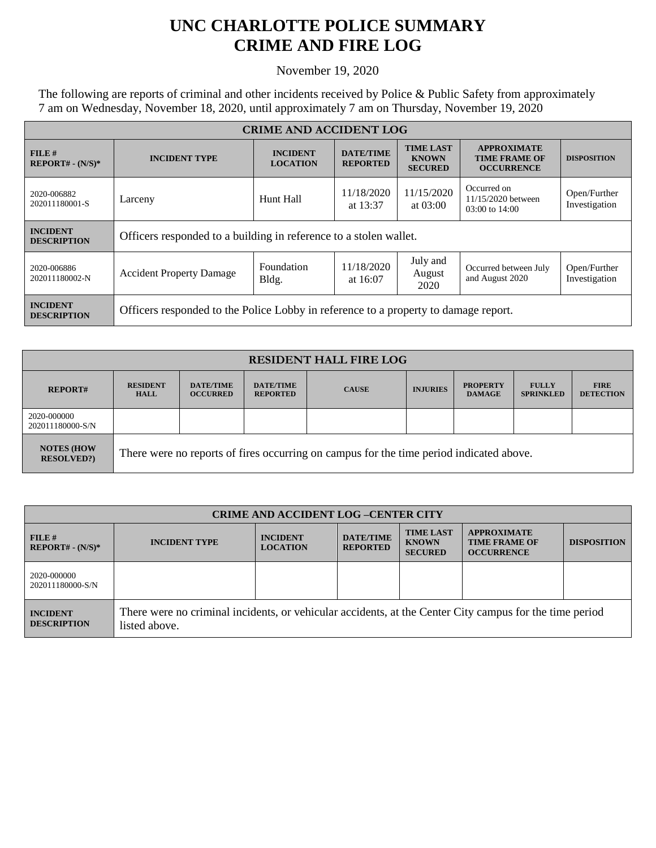## **UNC CHARLOTTE POLICE SUMMARY CRIME AND FIRE LOG**

November 19, 2020

The following are reports of criminal and other incidents received by Police & Public Safety from approximately 7 am on Wednesday, November 18, 2020, until approximately 7 am on Thursday, November 19, 2020

| <b>CRIME AND ACCIDENT LOG</b>         |                                                                                     |                                    |                                     |                                                    |                                                                 |                               |  |
|---------------------------------------|-------------------------------------------------------------------------------------|------------------------------------|-------------------------------------|----------------------------------------------------|-----------------------------------------------------------------|-------------------------------|--|
| FILE#<br>$REPORT# - (N/S)*$           | <b>INCIDENT TYPE</b>                                                                | <b>INCIDENT</b><br><b>LOCATION</b> | <b>DATE/TIME</b><br><b>REPORTED</b> | <b>TIME LAST</b><br><b>KNOWN</b><br><b>SECURED</b> | <b>APPROXIMATE</b><br><b>TIME FRAME OF</b><br><b>OCCURRENCE</b> | <b>DISPOSITION</b>            |  |
| 2020-006882<br>202011180001-S         | Larceny                                                                             | Hunt Hall                          | 11/18/2020<br>at $13:37$            | 11/15/2020<br>at $03:00$                           | Occurred on<br>11/15/2020 between<br>03:00 to 14:00             | Open/Further<br>Investigation |  |
| <b>INCIDENT</b><br><b>DESCRIPTION</b> | Officers responded to a building in reference to a stolen wallet.                   |                                    |                                     |                                                    |                                                                 |                               |  |
| 2020-006886<br>202011180002-N         | <b>Accident Property Damage</b>                                                     | Foundation<br>Bldg.                | 11/18/2020<br>at $16:07$            | July and<br>August<br>2020                         | Occurred between July<br>and August 2020                        | Open/Further<br>Investigation |  |
| <b>INCIDENT</b><br><b>DESCRIPTION</b> | Officers responded to the Police Lobby in reference to a property to damage report. |                                    |                                     |                                                    |                                                                 |                               |  |

| <b>RESIDENT HALL FIRE LOG</b>          |                                                                                         |                                     |                                     |              |                 |                                  |                                  |                                 |
|----------------------------------------|-----------------------------------------------------------------------------------------|-------------------------------------|-------------------------------------|--------------|-----------------|----------------------------------|----------------------------------|---------------------------------|
| <b>REPORT#</b>                         | <b>RESIDENT</b><br><b>HALL</b>                                                          | <b>DATE/TIME</b><br><b>OCCURRED</b> | <b>DATE/TIME</b><br><b>REPORTED</b> | <b>CAUSE</b> | <b>INJURIES</b> | <b>PROPERTY</b><br><b>DAMAGE</b> | <b>FULLY</b><br><b>SPRINKLED</b> | <b>FIRE</b><br><b>DETECTION</b> |
| 2020-000000<br>202011180000-S/N        |                                                                                         |                                     |                                     |              |                 |                                  |                                  |                                 |
| <b>NOTES (HOW</b><br><b>RESOLVED?)</b> | There were no reports of fires occurring on campus for the time period indicated above. |                                     |                                     |              |                 |                                  |                                  |                                 |

| <b>CRIME AND ACCIDENT LOG-CENTER CITY</b> |                                                                                                                          |                                    |                                     |                                                    |                                                                 |                    |
|-------------------------------------------|--------------------------------------------------------------------------------------------------------------------------|------------------------------------|-------------------------------------|----------------------------------------------------|-----------------------------------------------------------------|--------------------|
| $FILE$ #<br>$REPORT# - (N/S)*$            | <b>INCIDENT TYPE</b>                                                                                                     | <b>INCIDENT</b><br><b>LOCATION</b> | <b>DATE/TIME</b><br><b>REPORTED</b> | <b>TIME LAST</b><br><b>KNOWN</b><br><b>SECURED</b> | <b>APPROXIMATE</b><br><b>TIME FRAME OF</b><br><b>OCCURRENCE</b> | <b>DISPOSITION</b> |
| 2020-000000<br>202011180000-S/N           |                                                                                                                          |                                    |                                     |                                                    |                                                                 |                    |
| <b>INCIDENT</b><br><b>DESCRIPTION</b>     | There were no criminal incidents, or vehicular accidents, at the Center City campus for the time period<br>listed above. |                                    |                                     |                                                    |                                                                 |                    |